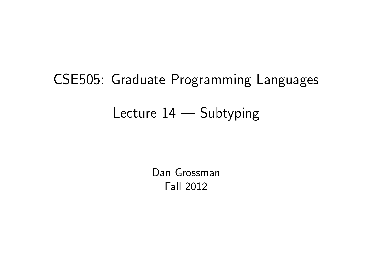# CSE505: Graduate Programming Languages Lecture 14 — Subtyping

<span id="page-0-0"></span>Dan Grossman Fall 2012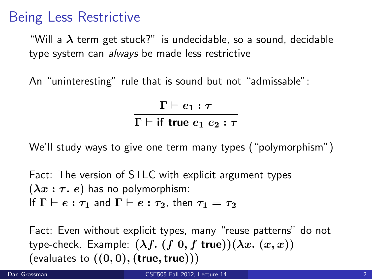#### Being Less Restrictive

"Will a  $\lambda$  term get stuck?" is undecidable, so a sound, decidable type system can always be made less restrictive

An "uninteresting" rule that is sound but not "admissable":

 $\Gamma \vdash e_1 : \tau$  $\Gamma \vdash$  if true  $e_1$   $e_2$  :  $\tau$ 

We'll study ways to give one term many types ("polymorphism")

Fact: The version of STLC with explicit argument types  $(\lambda x : \tau, e)$  has no polymorphism: If  $\Gamma \vdash e : \tau_1$  and  $\Gamma \vdash e : \tau_2$ , then  $\tau_1 = \tau_2$ 

Fact: Even without explicit types, many "reuse patterns" do not type-check. Example:  $(\lambda f. (f \ 0, f \ true))(\lambda x. (x, x))$ (evaluates to  $((0,0),$  (true, true)))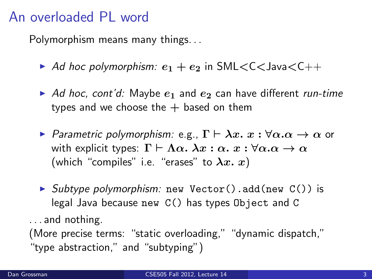## An overloaded PL word

Polymorphism means many things. . .

- Ad hoc polymorphism:  $e_1 + e_2$  in SML $<<$ Java $<<$ ++
- Ad hoc, cont'd: Maybe  $e_1$  and  $e_2$  can have different run-time types and we choose the  $+$  based on them
- **•** Parametric polymorphism: e.g.,  $\Gamma \vdash \lambda x. x : \forall \alpha.\alpha \rightarrow \alpha$  or with explicit types:  $\Gamma \vdash \Lambda \alpha$ .  $\lambda x : \alpha$ .  $x : \forall \alpha \ldotp \alpha \rightarrow \alpha$ (which "compiles" i.e. "erases" to  $\lambda x. x$ )
- $\triangleright$  Subtype polymorphism: new Vector().add(new C()) is legal Java because new C() has types Object and C

. . . and nothing.

(More precise terms: "static overloading," "dynamic dispatch," "type abstraction," and "subtyping")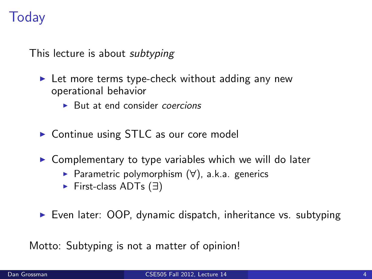# **Today**

This lecture is about *subtyping* 

- $\blacktriangleright$  Let more terms type-check without adding any new operational behavior
	- $\triangleright$  But at end consider *coercions*
- $\triangleright$  Continue using STLC as our core model
- $\triangleright$  Complementary to type variables which we will do later
	- <sup>I</sup> Parametric polymorphism (∀), a.k.a. generics
	- ► First-class ADTs (∃)
- $\triangleright$  Even later: OOP, dynamic dispatch, inheritance vs. subtyping

Motto: Subtyping is not a matter of opinion!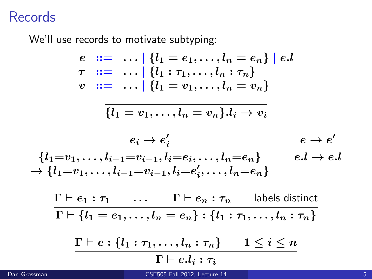## **Records**

We'll use records to motivate subtyping:

$$
e ::= \dots | \{l_1 = e_1, \dots, l_n = e_n\} | e.l
$$
  
\n
$$
\tau ::= \dots | \{l_1 : \tau_1, \dots, l_n : \tau_n\}
$$
  
\n
$$
v ::= \dots | \{l_1 = v_1, \dots, l_n = v_n\}
$$

$$
\{l_1=v_1,\ldots,l_n=v_n\}.l_i\to v_i
$$

$$
\frac{e_i \to e_i'}{\{l_1 = v_1, \ldots, l_{i-1} = v_{i-1}, l_i = e_i, \ldots, l_n = e_n\}} \qquad \frac{e \to e'}{e.l \to e.l} \\ \to \{l_1 = v_1, \ldots, l_{i-1} = v_{i-1}, l_i = e_i', \ldots, l_n = e_n\}
$$

$$
\frac{\Gamma \vdash e_1 : \tau_1 \quad \dots \quad \Gamma \vdash e_n : \tau_n \quad \text{labels distinct}}{\Gamma \vdash \{l_1 = e_1, \dots, l_n = e_n\} : \{l_1 : \tau_1, \dots, l_n : \tau_n\}}
$$

$$
\frac{\Gamma\vdash e:\{l_1:\tau_1,\ldots,l_n:\tau_n\}}{\Gamma\vdash e.l_i:\tau_i}\qquad 1\leq i\leq n
$$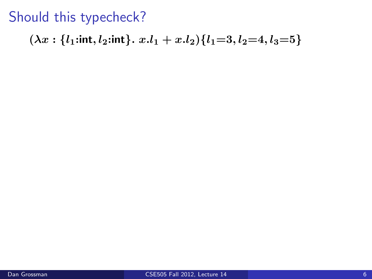# Should this typecheck?

$$
(\lambda x: \{l_1: \mathsf{int}, l_2: \mathsf{int}\}.~x.l_1+x.l_2)\{l_1\hspace{-0.7mm}=\hspace{-0.7mm}3, l_2\hspace{-0.7mm}=\hspace{-0.7mm}4, l_3\hspace{-0.7mm}=\hspace{-0.7mm}5\}
$$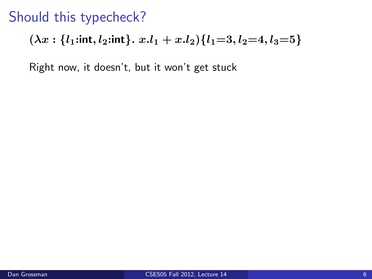# Should this typecheck?

$$
(\lambda x: \{l_1: \text{int}, l_2: \text{int}\}\, x.l_1 + x.l_2) \{l_1 = 3, l_2 = 4, l_3 = 5\}
$$

Right now, it doesn't, but it won't get stuck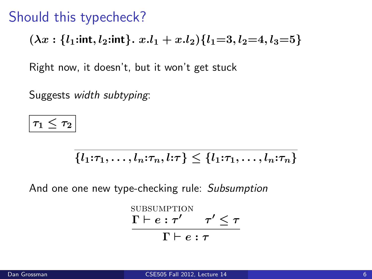## Should this typecheck?

$$
(\lambda x: \{l_1: \text{int}, l_2: \text{int}\}\, x.l_1 + x.l_2) \{l_1 = 3, l_2 = 4, l_3 = 5\}
$$

Right now, it doesn't, but it won't get stuck

Suggests width subtyping:

 $\tau_1\leq \tau_2$ 

$$
\{l_1:\tau_1,\ldots,l_n:\tau_n,l:\tau\}\leq \{l_1:\tau_1,\ldots,l_n:\tau_n\}
$$

And one one new type-checking rule: Subsumption

$$
\frac{\text{SUBSUMPTION}}{\Gamma \vdash e : \tau' \quad \tau' \leq \tau}{\Gamma \vdash e : \tau}
$$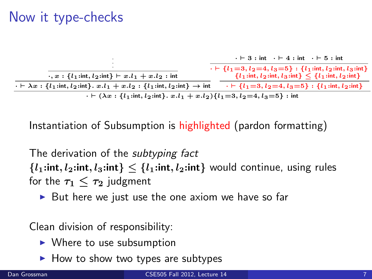# Now it type-checks



Instantiation of Subsumption is highlighted (pardon formatting)

The derivation of the *subtyping fact*  ${l_1:}$ int,  $l_2:}$ int,  $l_3:$ int}  $\leq {l_1:}$ int,  $l_2:}$ int} would continue, using rules for the  $\tau_1 < \tau_2$  judgment

 $\triangleright$  But here we just use the one axiom we have so far

Clean division of responsibility:

- $\blacktriangleright$  Where to use subsumption
- $\blacktriangleright$  How to show two types are subtypes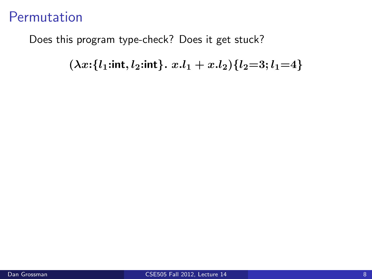Does this program type-check? Does it get stuck?

 $(\lambda x: \{l_1: \text{int}, l_2: \text{int}\}\cdot x. l_1 + x. l_2)\{l_2=3; l_1=4\}$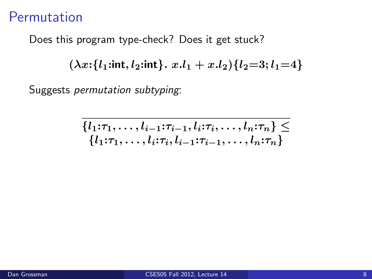Does this program type-check? Does it get stuck?

 $(\lambda x: \{l_1: \text{int}, l_2: \text{int}\}\, x.l_1 + x.l_2) \{l_2 = 3; l_1 = 4\}$ 

Suggests permutation subtyping:

$$
\{l_1:\tau_1,\ldots,l_{i-1}:\tau_{i-1},l_i:\tau_i,\ldots,l_n:\tau_n\} \le
$$
  

$$
\{l_1:\tau_1,\ldots,l_i:\tau_i,l_{i-1}:\tau_{i-1},\ldots,l_n:\tau_n\}
$$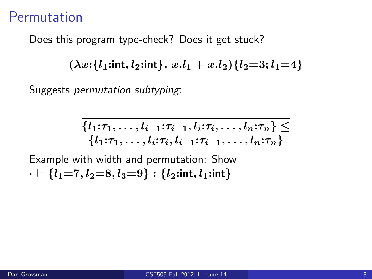Does this program type-check? Does it get stuck?

 $(\lambda x: \{l_1: \text{int}, l_2: \text{int}\}\, x.l_1 + x.l_2) \{l_2 = 3; l_1 = 4\}$ 

Suggests permutation subtyping:

$$
\{l_1:\tau_1,\ldots,l_{i-1}:\tau_{i-1},l_i:\tau_i,\ldots,l_n:\tau_n\} \le
$$
  

$$
\{l_1:\tau_1,\ldots,l_i:\tau_i,l_{i-1}:\tau_{i-1},\ldots,l_n:\tau_n\}
$$

Example with width and permutation: Show  $\cdot \vdash \{l_1=7, l_2=8, l_3=9\} : \{l_2: \text{int}, l_1: \text{int}\}$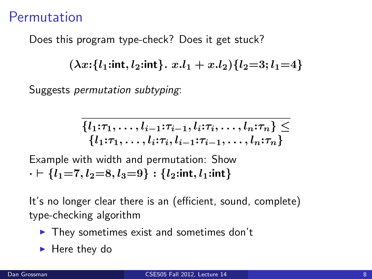Does this program type-check? Does it get stuck?

 $(\lambda x: \{l_1: \text{int}, l_2: \text{int}\}, x.l_1 + x.l_2) \{l_2 = 3: l_1 = 4\}$ 

Suggests permutation subtyping:

$$
\{l_1:\tau_1,\ldots,l_{i-1}:\tau_{i-1},l_i:\tau_i,\ldots,l_n:\tau_n\} \le
$$
  

$$
\{l_1:\tau_1,\ldots,l_i:\tau_i,l_{i-1}:\tau_{i-1},\ldots,l_n:\tau_n\}
$$

Example with width and permutation: Show  $\cdot \vdash \{l_1=7, l_2=8, l_3=9\} : \{l_2: \text{int}, l_1: \text{int}\}$ 

It's no longer clear there is an (efficient, sound, complete) type-checking algorithm

- $\blacktriangleright$  They sometimes exist and sometimes don't
- $\blacktriangleright$  Here they do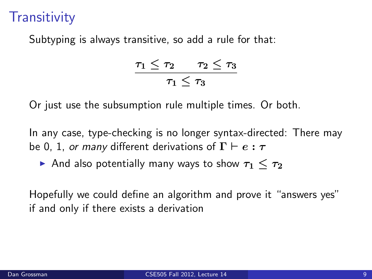# **Transitivity**

Subtyping is always transitive, so add a rule for that:

$$
\frac{\tau_1\leq\tau_2\qquad \tau_2\leq\tau_3}{\tau_1\leq\tau_3}
$$

Or just use the subsumption rule multiple times. Or both.

In any case, type-checking is no longer syntax-directed: There may be 0, 1, or many different derivations of  $\Gamma \vdash e : \tau$ 

And also potentially many ways to show  $\tau_1 < \tau_2$ 

Hopefully we could define an algorithm and prove it "answers yes" if and only if there exists a derivation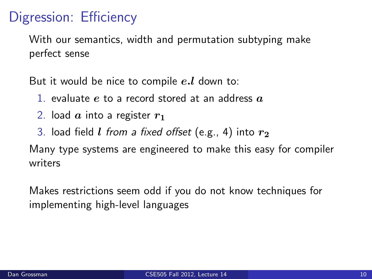# Digression: Efficiency

With our semantics, width and permutation subtyping make perfect sense

But it would be nice to compile  $e.l$  down to:

- 1. evaluate e to a record stored at an address  $a$
- 2. load  $\alpha$  into a register  $r_1$
- 3. load field *l from a fixed offset* (e.g., 4) into  $r_2$

Many type systems are engineered to make this easy for compiler writers

Makes restrictions seem odd if you do not know techniques for implementing high-level languages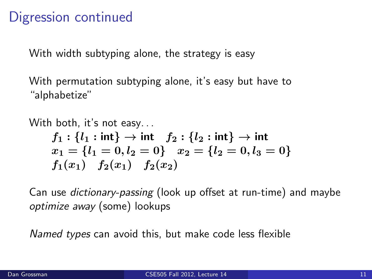## Digression continued

With width subtyping alone, the strategy is easy

With permutation subtyping alone, it's easy but have to "alphabetize"

With both, it's not easy. . .  $f_1: \{l_1: \mathsf{int}\} \to \mathsf{int}$   $f_2: \{l_2: \mathsf{int}\} \to \mathsf{int}$  $x_1 = \{l_1 = 0, l_2 = 0\}$   $x_2 = \{l_2 = 0, l_3 = 0\}$  $f_1(x_1)$   $f_2(x_1)$   $f_2(x_2)$ 

Can use dictionary-passing (look up offset at run-time) and maybe optimize away (some) lookups

Named types can avoid this, but make code less flexible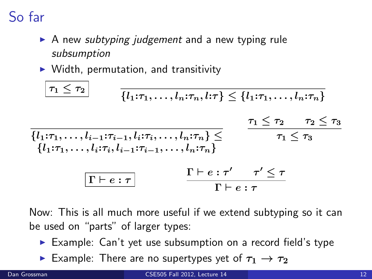So far

- $\triangleright$  A new *subtyping judgement* and a new typing rule subsumption
- $\triangleright$  Width, permutation, and transitivity

$$
\frac{\tau_1 \leq \tau_2}{\{l_1:\tau_1,\ldots,l_n:\tau_n,l:\tau\} } \leq \{l_1:\tau_1,\ldots,l_n:\tau_n\}
$$
\n
$$
\frac{\tau_1 \leq \tau_2 \qquad \tau_2 \leq \tau_3}{\{l_1:\tau_1,\ldots,l_{i-1}:\tau_{i-1},l_i:\tau_i,\ldots,l_n:\tau_n\} }\leq \qquad \frac{\tau_1 \leq \tau_2 \qquad \tau_2 \leq \tau_3}{\tau_1 \leq \tau_3}
$$
\n
$$
\frac{\Gamma \vdash e : \tau' \qquad \tau' \leq \tau}{\Gamma \vdash e : \tau}
$$

Now: This is all much more useful if we extend subtyping so it can be used on "parts" of larger types:

- $\triangleright$  Example: Can't yet use subsumption on a record field's type
- **Example:** There are no supertypes yet of  $\tau_1 \rightarrow \tau_2$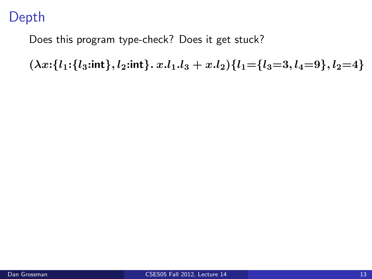# Depth

Does this program type-check? Does it get stuck?

 $(\lambda x: \{l_1: \{l_3: \text{int}\}, l_2: \text{int}\}. x.l_1.l_3 + x.l_2) \{l_1 = \{l_3 = 3, l_4 = 9\}, l_2 = 4\}$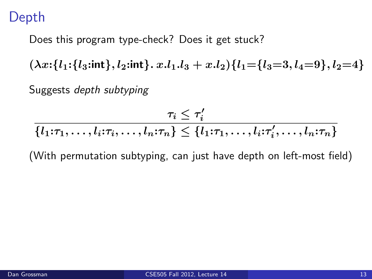## Depth

Does this program type-check? Does it get stuck?

 $(\lambda x: \{l_1: \{l_3: \text{int}\}, l_2: \text{int}\} \ldots l_1 \ldots l_3 + x \ldots l_2) \{l_1 = \{l_3 = 3, l_4 = 9\}, l_2 = 4\}$ 

Suggests depth subtyping

$$
\frac{\tau_i \leq \tau'_i}{\{l_1:\tau_1,\ldots,l_i:\tau_i,\ldots,l_n:\tau_n\} \leq \{l_1:\tau_1,\ldots,l_i:\tau'_i,\ldots,l_n:\tau_n\}}
$$

(With permutation subtyping, can just have depth on left-most field)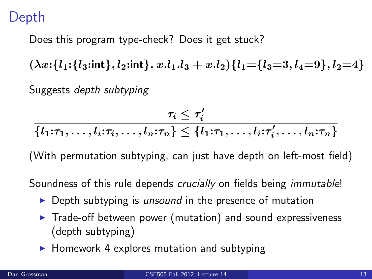## Depth

Does this program type-check? Does it get stuck?

 $(\lambda x: \{l_1: \{l_3: \text{int}\}, l_2: \text{int}\} \ldots l_1 \ldots l_3 + x \ldots l_2) \{l_1 = \{l_3 = 3, l_4 = 9\}, l_2 = 4\}$ 

Suggests depth subtyping

$$
\tau_i \leq \tau'_i
$$

 $\{l_1:\tau_1,\ldots,l_i:\tau_i,\ldots,l_n:\tau_n\} \leq \{l_1:\tau_1,\ldots,l_i:\tau'_i,\ldots,l_n:\tau_n\}$ 

(With permutation subtyping, can just have depth on left-most field)

Soundness of this rule depends *crucially* on fields being *immutable!* 

- $\triangleright$  Depth subtyping is *unsound* in the presence of mutation
- $\triangleright$  Trade-off between power (mutation) and sound expressiveness (depth subtyping)
- $\blacktriangleright$  Homework 4 explores mutation and subtyping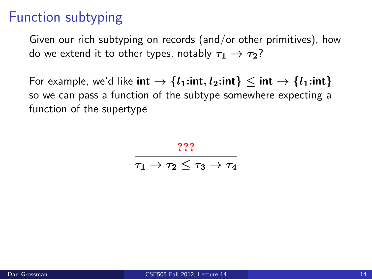# Function subtyping

Given our rich subtyping on records (and/or other primitives), how do we extend it to other types, notably  $\tau_1 \rightarrow \tau_2$ ?

For example, we'd like  $\text{int} \rightarrow \{l_1:\text{int}, l_2:\text{int}\} \leq \text{int} \rightarrow \{l_1:\text{int}\}$ so we can pass a function of the subtype somewhere expecting a function of the supertype

> ???  $\frac{1}{\tau_1 \to \tau_2 \leq \tau_3 \to \tau_4}$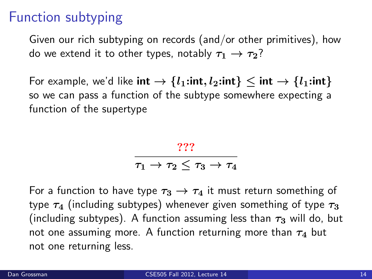## Function subtyping

Given our rich subtyping on records (and/or other primitives), how do we extend it to other types, notably  $\tau_1 \rightarrow \tau_2$ ?

For example, we'd like  $\text{int} \rightarrow \{l_1:\text{int}, l_2:\text{int}\} \leq \text{int} \rightarrow \{l_1:\text{int}\}$ so we can pass a function of the subtype somewhere expecting a function of the supertype

???

 $\frac{1}{\tau_1 \to \tau_2 \leq \tau_3 \to \tau_4}$ 

For a function to have type  $\tau_3 \rightarrow \tau_4$  it must return something of type  $\tau_4$  (including subtypes) whenever given something of type  $\tau_3$ (including subtypes). A function assuming less than  $\tau_3$  will do, but not one assuming more. A function returning more than  $\tau_4$  but not one returning less.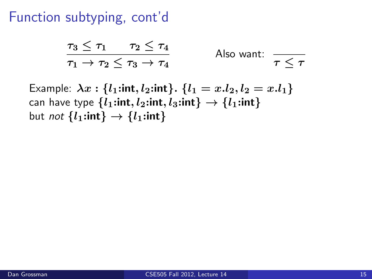#### Function subtyping, cont'd

$$
\frac{\tau_3 \le \tau_1 \quad \tau_2 \le \tau_4}{\tau_1 \to \tau_2 \le \tau_3 \to \tau_4} \qquad \text{Also want:} \quad \frac{\tau_1 \le \tau_2}{\tau_1 \to \tau_2 \cdot \tau_1}
$$

Example:  $\lambda x : \{l_1 : \text{int}, l_2 : \text{int}\}\$ .  $\{l_1 = x.l_2, l_2 = x.l_1\}$ can have type  $\{l_1: \text{int}, l_2: \text{int}, l_3: \text{int}\} \rightarrow \{l_1: \text{int}\}$ but *not*  $\{l_1: \text{int}\} \rightarrow \{l_1: \text{int}\}$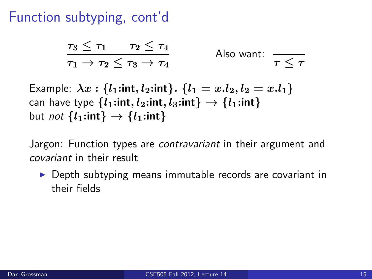#### Function subtyping, cont'd

$$
\frac{\tau_3 \le \tau_1 \quad \tau_2 \le \tau_4}{\tau_1 \to \tau_2 \le \tau_3 \to \tau_4} \qquad \text{Also want:} \quad \frac{\tau_1 \le \tau_2}{\tau_1 \to \tau_2 \cdot \tau_1}
$$

Example:  $\lambda x : \{l_1 : \text{int}, l_2 : \text{int}\}\$ .  $\{l_1 = x.l_2, l_2 = x.l_1\}$ can have type  $\{l_1: \text{int}, l_2: \text{int}, l_3: \text{int}\} \rightarrow \{l_1: \text{int}\}$ but *not*  $\{l_1: \text{int}\} \rightarrow \{l_1: \text{int}\}$ 

Jargon: Function types are *contravariant* in their argument and covariant in their result

 $\triangleright$  Depth subtyping means immutable records are covariant in their fields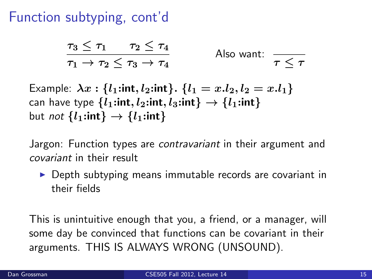## Function subtyping, cont'd

$$
\frac{\tau_3 \le \tau_1 \quad \tau_2 \le \tau_4}{\tau_1 \to \tau_2 \le \tau_3 \to \tau_4} \qquad \text{Also want:} \quad \frac{\tau_1 \le \tau_2}{\tau_1 \to \tau_2 \cdot \tau_1}
$$

Example:  $\lambda x : \{l_1 : \text{int}, l_2 : \text{int}\}\$ .  $\{l_1 = x.l_2, l_2 = x.l_1\}$ can have type  $\{l_1: \text{int}, l_2: \text{int}, l_3: \text{int}\} \rightarrow \{l_1: \text{int}\}$ but *not*  $\{l_1: \text{int}\} \rightarrow \{l_1: \text{int}\}$ 

Jargon: Function types are *contravariant* in their argument and covariant in their result

 $\triangleright$  Depth subtyping means immutable records are covariant in their fields

This is unintuitive enough that you, a friend, or a manager, will some day be convinced that functions can be covariant in their arguments. THIS IS ALWAYS WRONG (UNSOUND).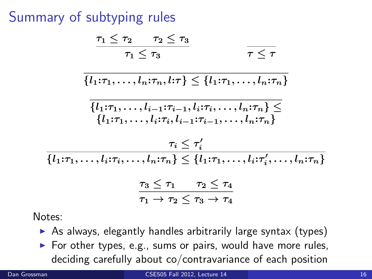# Summary of subtyping rules

$$
\frac{\tau_1 \leq \tau_2 \quad \tau_2 \leq \tau_3}{\tau_1 \leq \tau_3} \qquad \qquad \frac{\tau_2 \leq \tau_1}{\tau_1 \leq \tau_2}
$$

$$
\{l_1:\tau_1,\ldots,l_n:\tau_n,l:\tau\}\leq \{l_1:\tau_1,\ldots,l_n:\tau_n\}
$$

$$
\frac{\{l_1:\tau_1,\ldots,l_{i-1}:\tau_{i-1},l_i:\tau_i,\ldots,l_n:\tau_n\}}{\{l_1:\tau_1,\ldots,l_i:\tau_i,l_{i-1}:\tau_{i-1},\ldots,l_n:\tau_n\}}
$$

$$
\tau_i \leq \tau'_i
$$
  

$$
\{l_1:\tau_1,\ldots,l_i:\tau_i,\ldots,l_n:\tau_n\} \leq \{l_1:\tau_1,\ldots,l_i:\tau'_i,\ldots,l_n:\tau_n\}
$$
  

$$
\tau_3 \leq \tau_1 \qquad \tau_2 \leq \tau_4
$$

$$
\tau_1 \rightarrow \tau_2 \leq \tau_3 \rightarrow \tau_4
$$

Notes:

- $\triangleright$  As always, elegantly handles arbitrarily large syntax (types)
- $\triangleright$  For other types, e.g., sums or pairs, would have more rules, deciding carefully about co/contravariance of each position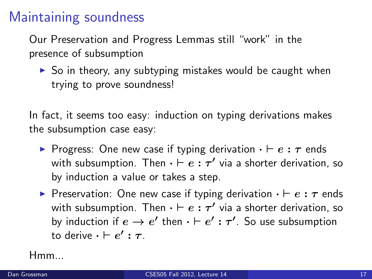#### Maintaining soundness

Our Preservation and Progress Lemmas still "work" in the presence of subsumption

 $\triangleright$  So in theory, any subtyping mistakes would be caught when trying to prove soundness!

In fact, it seems too easy: induction on typing derivations makes the subsumption case easy:

- **Progress:** One new case if typing derivation  $\cdot \vdash e : \tau$  ends with subsumption. Then  $\cdot \vdash e : \tau'$  via a shorter derivation, so by induction a value or takes a step.
- **Preservation:** One new case if typing derivation  $\cdot \vdash e : \tau$  ends with subsumption. Then  $\cdot \vdash e : \tau'$  via a shorter derivation, so by induction if  $e \to e'$  then  $\cdot \vdash e' : \tau'.$  So use subsumption to derive  $\cdot \vdash e' : \tau$  .

Hmm...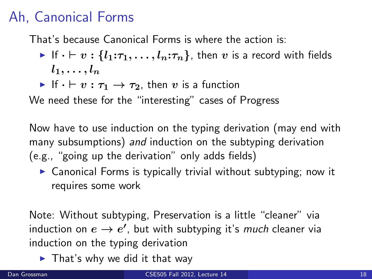# Ah, Canonical Forms

That's because Canonical Forms is where the action is:

- If  $\cdot \vdash v : \{l_1:\tau_1,\ldots,l_n:\tau_n\}$ , then v is a record with fields  $l_1, \ldots, l_n$
- If  $\cdot \vdash v : \tau_1 \rightarrow \tau_2$ , then v is a function

We need these for the "interesting" cases of Progress

Now have to use induction on the typing derivation (may end with many subsumptions) and induction on the subtyping derivation (e.g., "going up the derivation" only adds fields)

 $\triangleright$  Canonical Forms is typically trivial without subtyping; now it requires some work

Note: Without subtyping, Preservation is a little "cleaner" via induction on  $e \to e'$ , but with subtyping it's much cleaner via induction on the typing derivation

 $\blacktriangleright$  That's why we did it that way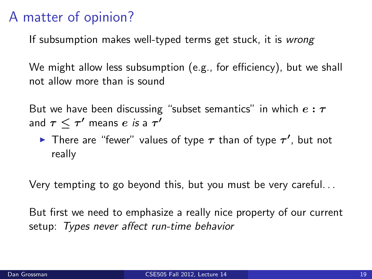## A matter of opinion?

If subsumption makes well-typed terms get stuck, it is wrong

We might allow less subsumption (e.g., for efficiency), but we shall not allow more than is sound

But we have been discussing "subset semantics" in which  $e : \tau$ and  $\tau\leq\tau'$  means  $e$  *is* a  $\tau'$ 

There are "fewer" values of type  $\tau$  than of type  $\tau'$ , but not really

Very tempting to go beyond this, but you must be very careful. . .

But first we need to emphasize a really nice property of our current setup: Types never affect run-time behavior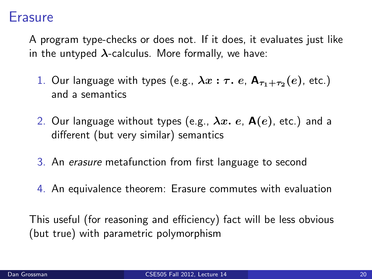#### Erasure

A program type-checks or does not. If it does, it evaluates just like in the untyped  $\lambda$ -calculus. More formally, we have:

- 1. Our language with types (e.g.,  $\lambda x: \tau.$   $e$ ,  ${\sf A}_{\tau_1+\tau_2}(e)$ , etc.) and a semantics
- 2. Our language without types (e.g.,  $\lambda x$ . e,  $A(e)$ , etc.) and a different (but very similar) semantics
- 3. An erasure metafunction from first language to second
- 4. An equivalence theorem: Erasure commutes with evaluation

This useful (for reasoning and efficiency) fact will be less obvious (but true) with parametric polymorphism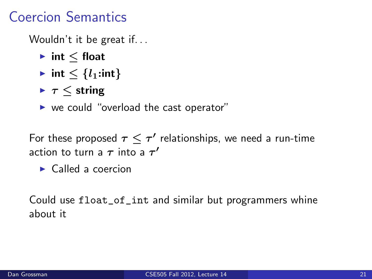# Coercion Semantics

Wouldn't it be great if...

- $\blacktriangleright$  int  $\lt$  float
- $\triangleright$  int  $\leq \{l_1:\text{int}\}$
- $\blacktriangleright$   $\tau$   $\lt$  string
- $\triangleright$  we could "overload the cast operator"

For these proposed  $\tau\leq \tau'$  relationships, we need a run-time action to turn a  $\tau$  into a  $\tau'$ 

 $\blacktriangleright$  Called a coercion

Could use float\_of\_int and similar but programmers whine about it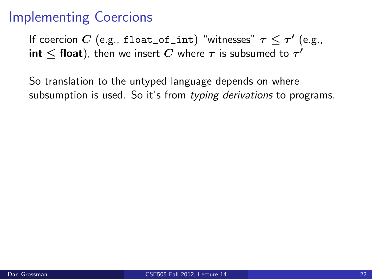## Implementing Coercions

If coercion  $C$  (e.g., float\_of\_int) "witnesses"  $\tau\leq\tau'$  (e.g.,  $\mathsf{int} \leq \mathsf{float})$ , then we insert  $C$  where  $\tau$  is subsumed to  $\tau'$ 

So translation to the untyped language depends on where subsumption is used. So it's from typing derivations to programs.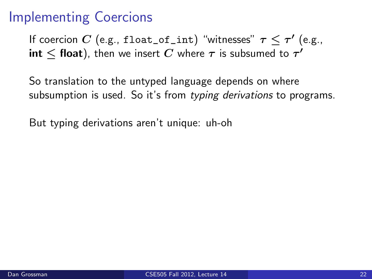# Implementing Coercions

If coercion  $C$  (e.g., float\_of\_int) "witnesses"  $\tau\leq\tau'$  (e.g.,  $\mathsf{int} \leq \mathsf{float})$ , then we insert  $C$  where  $\tau$  is subsumed to  $\tau'$ 

So translation to the untyped language depends on where subsumption is used. So it's from typing derivations to programs.

But typing derivations aren't unique: uh-oh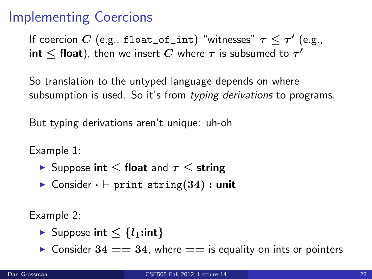# Implementing Coercions

If coercion  $C$  (e.g., float\_of\_int) "witnesses"  $\tau\leq\tau'$  (e.g.,  $\mathsf{int} \leq \mathsf{float})$ , then we insert  $C$  where  $\tau$  is subsumed to  $\tau'$ 

So translation to the untyped language depends on where subsumption is used. So it's from typing derivations to programs.

But typing derivations aren't unique: uh-oh

Example 1:

- **►** Suppose int  $\leq$  float and  $\tau \leq$  string
- $\triangleright$  Consider  $\cdot \vdash$  print\_string(34) : unit

Example 2:

- ► Suppose int  $\lt \{l_1:\mathsf{int}\}$
- $\triangleright$  Consider 34 = 34, where = is equality on ints or pointers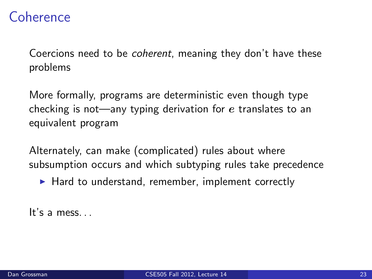#### Coherence

Coercions need to be coherent, meaning they don't have these problems

More formally, programs are deterministic even though type checking is not—any typing derivation for  $e$  translates to an equivalent program

Alternately, can make (complicated) rules about where subsumption occurs and which subtyping rules take precedence

 $\blacktriangleright$  Hard to understand, remember, implement correctly

It's a mess. . .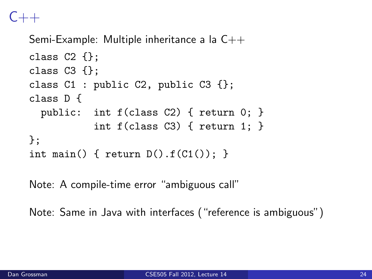# $C_{+++}$

```
Semi-Example: Multiple inheritance a la C++
class C2 \{;
class C3 \{\};
class C1: public C2, public C3 \{\};
class D {
  public: int f(class C2) { return 0; }
            int f(class C3) { return 1; }
};
int main() { return D(.) . f(C1()); }
```
Note: A compile-time error "ambiguous call"

Note: Same in Java with interfaces ("reference is ambiguous")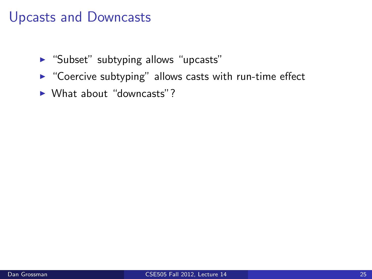#### Upcasts and Downcasts

- $\blacktriangleright$  "Subset" subtyping allows "upcasts"
- $\triangleright$  "Coercive subtyping" allows casts with run-time effect
- $\blacktriangleright$  What about "downcasts"?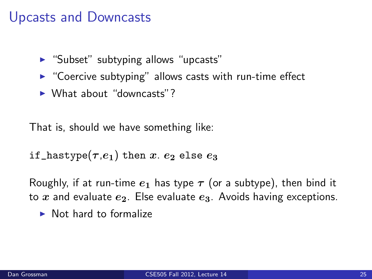#### Upcasts and Downcasts

- $\blacktriangleright$  "Subset" subtyping allows "upcasts"
- $\triangleright$  "Coercive subtyping" allows casts with run-time effect
- $\triangleright$  What about "downcasts"?

That is, should we have something like:

$$
\texttt{if\_hastype}(\tau.\mathbb{e}_1) \texttt{ then } x.~e_2 \texttt{ else } e_3
$$

Roughly, if at run-time  $e_1$  has type  $\tau$  (or a subtype), then bind it to x and evaluate  $e_2$ . Else evaluate  $e_3$ . Avoids having exceptions.

 $\blacktriangleright$  Not hard to formalize